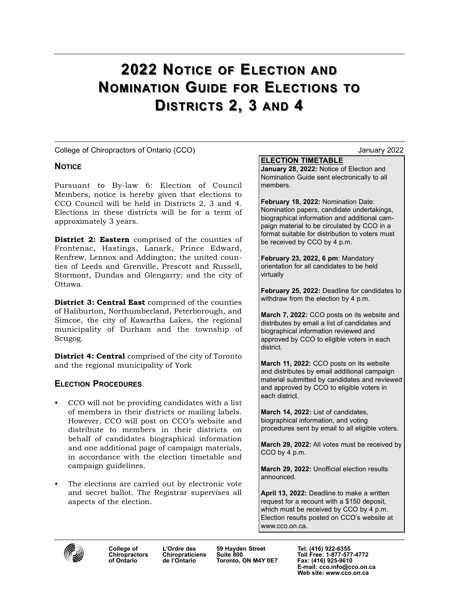# 2022 NOTICE OF ELECTION AND NOMINATION GUIDE FOR ELECTIONS TO DISTRICTS 2, 3 AND 4

College of Chiropractors of Ontario (CCO) January 2022

# **NOTICE**

Pursuant to By-law 6: Election of Council Members, notice is hereby given that elections to CCO Council will be held in Districts 2, 3 and 4. Elections in these districts will be for a term of approximately 3 years.

District 2: Eastern comprised of the counties of Frontenac, Hastings, Lanark, Prince Edward, Renfrew, Lennox and Addington; the united counties of Leeds and Grenville, Prescott and Russell, Stormont, Dundas and Glengarry; and the city of Ottawa.

District 3: Central East comprised of the counties of Haliburton, Northumberland, Peterborough, and Simcoe, the city of Kawartha Lakes, the regional municipality of Durham and the township of Scugog.

District 4: Central comprised of the city of Toronto and the regional municipality of York

# ELECTION PROCEDURES

- CCO will not be providing candidates with a list of members in their districts or mailing labels. However, CCO will post on CCO's website and distribute to members in their districts on behalf of candidates biographical information and one additional page of campaign materials, in accordance with the election timetable and campaign guidelines.
- The elections are carried out by electronic vote and secret ballot. The Registrar supervises all aspects of the election.

# ELECTION TIMETABLE

January 28, 2022: Notice of Election and Nomination Guide sent electronically to all members.

February 18, 2022: Nomination Date: Nomination papers, candidate undertakings, biographical information and additional campaign material to be circulated by CCO in a format suitable for distribution to voters must be received by CCO by 4 p.m.

February 23, 2022, 6 pm: Mandatory orientation for all candidates to be held virtually

February 25, 2022: Deadline for candidates to withdraw from the election by 4 p.m.

March 7, 2022: CCO posts on its website and distributes by email a list of candidates and biographical information reviewed and approved by CCO to eligible voters in each district.

March 11, 2022: CCO posts on its website and distributes by email additional campaign material submitted by candidates and reviewed and approved by CCO to eligible voters in each district.

March 14, 2022: List of candidates, biographical information, and voting procedures sent by email to all eligible voters.

March 29, 2022: All votes must be received by CCO by 4 p.m.

March 29, 2022: Unofficial election results announced.

April 13, 2022: Deadline to make a written request for a recount with a \$150 deposit, which must be received by CCO by 4 p.m. Election results posted on CCO's website at www.cco.on.ca.



of Ontario de l'Ontario Toronto, ON M4Y 0E7 Fax: (416) 925-9610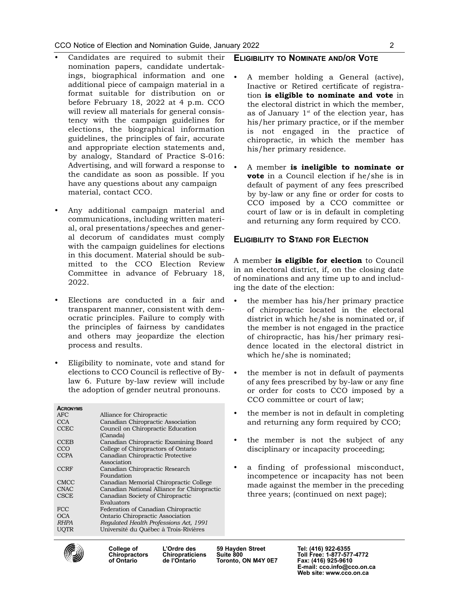- Candidates are required to submit their nomination papers, candidate undertakings, biographical information and one additional piece of campaign material in a format suitable for distribution on or before February 18, 2022 at 4 p.m. CCO will review all materials for general consistency with the campaign guidelines for elections, the biographical information guidelines, the principles of fair, accurate and appropriate election statements and, by analogy, Standard of Practice S-016: Advertising, and will forward a response to the candidate as soon as possible. If you have any questions about any campaign material, contact CCO.
- Any additional campaign material and communications, including written material, oral presentations/speeches and general decorum of candidates must comply with the campaign guidelines for elections in this document. Material should be submitted to the CCO Election Review Committee in advance of February 18, 2022.
- Elections are conducted in a fair and transparent manner, consistent with democratic principles. Failure to comply with the principles of fairness by candidates and others may jeopardize the election process and results.
- Eligibility to nominate, vote and stand for elections to CCO Council is reflective of Bylaw 6. Future by-law review will include the adoption of gender neutral pronouns.

| <b>ACRONYMS</b> |                                             |  |
|-----------------|---------------------------------------------|--|
| <b>AFC</b>      | Alliance for Chiropractic                   |  |
| <b>CCA</b>      | Canadian Chiropractic Association           |  |
| <b>CCEC</b>     | Council on Chiropractic Education           |  |
|                 | (Canada)                                    |  |
| <b>CCEB</b>     | Canadian Chiropractic Examining Board       |  |
| CCO             | College of Chiropractors of Ontario         |  |
| <b>CCPA</b>     | Canadian Chiropractic Protective            |  |
|                 | Association                                 |  |
| <b>CCRF</b>     | Canadian Chiropractic Research              |  |
|                 | Foundation                                  |  |
| <b>CMCC</b>     | Canadian Memorial Chiropractic College      |  |
| <b>CNAC</b>     | Canadian National Alliance for Chiropractic |  |
| <b>CSCE</b>     | Canadian Society of Chiropractic            |  |
|                 | Evaluators                                  |  |
| FCC             | Federation of Canadian Chiropractic         |  |
| <b>OCA</b>      | Ontario Chiropractic Association            |  |
| <b>RHPA</b>     | Regulated Health Professions Act, 1991      |  |
| UOTR            | Université du Québec à Trois-Rivières       |  |
|                 |                                             |  |

#### ELIGIBILITY TO NOMINATE AND/OR VOTE

- A member holding a General (active), Inactive or Retired certificate of registration is eligible to nominate and vote in the electoral district in which the member, as of January  $1<sup>st</sup>$  of the election year, has his/her primary practice, or if the member is not engaged in the practice of chiropractic, in which the member has his/her primary residence.
- A member is ineligible to nominate or **vote** in a Council election if he/she is in default of payment of any fees prescribed by by-law or any fine or order for costs to CCO imposed by a CCO committee or court of law or is in default in completing and returning any form required by CCO.

# ELIGIBILITY TO STAND FOR ELECTION

A member is eligible for election to Council in an electoral district, if, on the closing date of nominations and any time up to and including the date of the election:

- the member has his/her primary practice of chiropractic located in the electoral district in which he/she is nominated or, if the member is not engaged in the practice of chiropractic, has his/her primary residence located in the electoral district in which he/she is nominated;
- the member is not in default of payments of any fees prescribed by by-law or any fine or order for costs to CCO imposed by a CCO committee or court of law;
- the member is not in default in completing and returning any form required by CCO;
- the member is not the subject of any disciplinary or incapacity proceeding;
- a finding of professional misconduct, incompetence or incapacity has not been made against the member in the preceding three years; (continued on next page);



Toronto, ON M4Y 0E7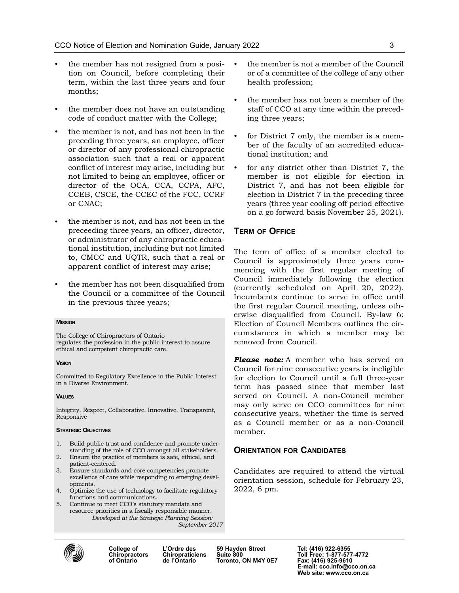- the member has not resigned from a position on Council, before completing their term, within the last three years and four months;
- the member does not have an outstanding code of conduct matter with the College;
- the member is not, and has not been in the preceding three years, an employee, officer or director of any professional chiropractic association such that a real or apparent conflict of interest may arise, including but not limited to being an employee, officer or director of the OCA, CCA, CCPA, AFC, CCEB, CSCE, the CCEC of the FCC, CCRF or CNAC;
- the member is not, and has not been in the preceeding three years, an officer, director, or administrator of any chiropractic educational institution, including but not limited to, CMCC and UQTR, such that a real or apparent conflict of interest may arise;
- the member has not been disqualified from the Council or a committee of the Council in the previous three years;

#### **MISSION**

The College of Chiropractors of Ontario regulates the profession in the public interest to assure ethical and competent chiropractic care.

#### **VISION**

Committed to Regulatory Excellence in the Public Interest in a Diverse Environment.

#### **VALUES**

Integrity, Respect, Collaborative, Innovative, Transparent, Responsive

#### STRATEGIC OBJECTIVES

- 1. Build public trust and confidence and promote understanding of the role of CCO amongst all stakeholders.
- 2. Ensure the practice of members is safe, ethical, and patient-centered.
- 3. Ensure standards and core competencies promote excellence of care while responding to emerging developments.
- 4. Optimize the use of technology to facilitate regulatory functions and communications.
- 5. Continue to meet CCO's statutory mandate and resource priorities in a fiscally responsible manner. Developed at the Strategic Planning Session: September 2017
- the member is not a member of the Council or of a committee of the college of any other health profession;
- the member has not been a member of the staff of CCO at any time within the preceding three years;
- for District 7 only, the member is a member of the faculty of an accredited educational institution; and
- for any district other than District 7, the member is not eligible for election in District 7, and has not been eligible for election in District 7 in the preceding three years (three year cooling off period effective on a go forward basis November 25, 2021).

#### TERM OF OFFICE

The term of office of a member elected to Council is approximately three years commencing with the first regular meeting of Council immediately following the election (currently scheduled on April 20, 2022). Incumbents continue to serve in office until the first regular Council meeting, unless otherwise disqualified from Council. By-law 6: Election of Council Members outlines the circumstances in which a member may be removed from Council.

**Please note:** A member who has served on Council for nine consecutive years is ineligible for election to Council until a full three-year term has passed since that member last served on Council. A non-Council member may only serve on CCO committees for nine consecutive years, whether the time is served as a Council member or as a non-Council member.

#### **ORIENTATION FOR CANDIDATES**

Candidates are required to attend the virtual orientation session, schedule for February 23, 2022, 6 pm.



College of L'Ordre des 59 Hayden Street Tel: (416) 922-6355<br>Chiropractors Chiropraticiens Suite 800 Toronto, ON M4Y 0E7

Chiropractors Chiropraticiens Suite 800 Toll Free: 1-877-577-4772<br>of Ontario de l'Ontario Toronto, ON M4Y 0E7 Fax: (416) 925-9610 E-mail: cco.info@cco.on.ca Web site: www.cco.on.ca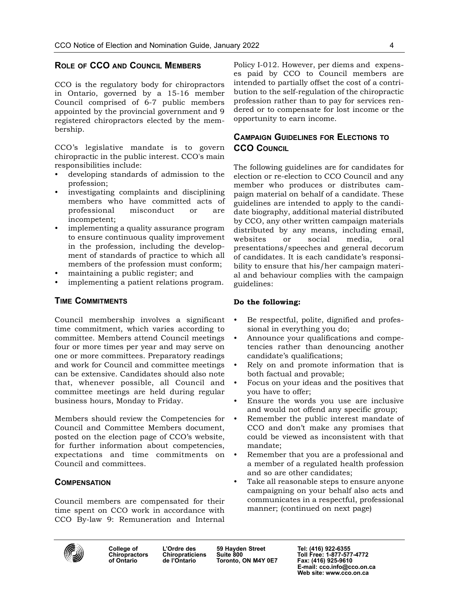# ROLE OF CCO AND COUNCIL MEMBERS

CCO is the regulatory body for chiropractors in Ontario, governed by a 15-16 member Council comprised of 6-7 public members appointed by the provincial government and 9 registered chiropractors elected by the membership.

CCO's legislative mandate is to govern chiropractic in the public interest. CCO's main responsibilities include:

- developing standards of admission to the profession;
- investigating complaints and disciplining members who have committed acts of professional misconduct or are incompetent;
- implementing a quality assurance program to ensure continuous quality improvement in the profession, including the development of standards of practice to which all members of the profession must conform;
- maintaining a public register; and
- implementing a patient relations program.

### TIME COMMITMENTS

Council membership involves a significant time commitment, which varies according to committee. Members attend Council meetings four or more times per year and may serve on one or more committees. Preparatory readings and work for Council and committee meetings can be extensive. Candidates should also note that, whenever possible, all Council and committee meetings are held during regular business hours, Monday to Friday.

Members should review the Competencies for Council and Committee Members document, posted on the election page of CCO's website, for further information about competencies, expectations and time commitments on Council and committees.

# **COMPENSATION**

Council members are compensated for their time spent on CCO work in accordance with CCO By-law 9: Remuneration and Internal

Policy I-012. However, per diems and expenses paid by CCO to Council members are intended to partially offset the cost of a contribution to the self-regulation of the chiropractic profession rather than to pay for services rendered or to compensate for lost income or the opportunity to earn income.

# CAMPAIGN GUIDELINES FOR ELECTIONS TO **CCO COUNCIL**

The following guidelines are for candidates for election or re-election to CCO Council and any member who produces or distributes campaign material on behalf of a candidate. These guidelines are intended to apply to the candidate biography, additional material distributed by CCO, any other written campaign materials distributed by any means, including email, websites or social media, oral presentations/speeches and general decorum of candidates. It is each candidate's responsibility to ensure that his/her campaign material and behaviour complies with the campaign guidelines:

#### Do the following:

- Be respectful, polite, dignified and professional in everything you do;
- Announce your qualifications and competencies rather than denouncing another candidate's qualifications;
- Rely on and promote information that is both factual and provable;
- Focus on your ideas and the positives that you have to offer;
- Ensure the words you use are inclusive and would not offend any specific group;
- Remember the public interest mandate of CCO and don't make any promises that could be viewed as inconsistent with that mandate;
- Remember that you are a professional and a member of a regulated health profession and so are other candidates;
- Take all reasonable steps to ensure anyone campaigning on your behalf also acts and communicates in a respectful, professional manner; (continued on next page)



College of L'Ordre des 59 Hayden Street Tel: (416) 922-6355<br>Chiropractors Chiropraticiens Suite 800<br>Toll Free: 1-877-57 Toronto, ON M4Y 0E7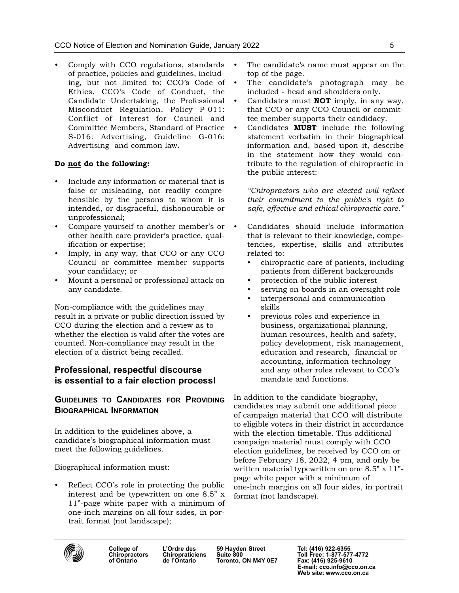• Comply with CCO regulations, standards of practice, policies and guidelines, including, but not limited to: CCO's Code of Ethics, CCO's Code of Conduct, the Candidate Undertaking, the Professional Misconduct Regulation, Policy P-011: Conflict of Interest for Council and Committee Members, Standard of Practice S-016: Advertising, Guideline G-016: Advertising and common law.

# Do not do the following:

- Include any information or material that is false or misleading, not readily comprehensible by the persons to whom it is intended, or disgraceful, dishonourable or unprofessional;
- Compare yourself to another member's or other health care provider's practice, qualification or expertise;
- Imply, in any way, that CCO or any CCO Council or committee member supports your candidacy; or
- Mount a personal or professional attack on any candidate.

Non-compliance with the guidelines may result in a private or public direction issued by CCO during the election and a review as to whether the election is valid after the votes are counted. Non-compliance may result in the election of a district being recalled.

# Professional, respectful discourse is essential to a fair election process!

# GUIDELINES TO CANDIDATES FOR PROVIDING BIOGRAPHICAL INFORMATION

In addition to the guidelines above, a candidate's biographical information must meet the following guidelines.

Biographical information must:

Reflect CCO's role in protecting the public interest and be typewritten on one 8.5" x 11"-page white paper with a minimum of one-inch margins on all four sides, in portrait format (not landscape);

- The candidate's name must appear on the top of the page.
- The candidate's photograph may be included - head and shoulders only.
- Candidates must **NOT** imply, in any way, that CCO or any CCO Council or committee member supports their candidacy.
- Candidates **MUST** include the following statement verbatim in their biographical information and, based upon it, describe in the statement how they would contribute to the regulation of chiropractic in the public interest:

"Chiropractors who are elected will reflect their commitment to the public's right to safe, effective and ethical chiropractic care."

- Candidates should include information that is relevant to their knowledge, competencies, expertise, skills and attributes related to:
	- chiropractic care of patients, including patients from different backgrounds
	- protection of the public interest
	- serving on boards in an oversight role
	- interpersonal and communication skills
	- previous roles and experience in business, organizational planning, human resources, health and safety, policy development, risk management, education and research, financial or accounting, information technology and any other roles relevant to CCO's mandate and functions.

In addition to the candidate biography, candidates may submit one additional piece of campaign material that CCO will distribute to eligible voters in their district in accordance with the election timetable. This additional campaign material must comply with CCO election guidelines, be received by CCO on or before February 18, 2022, 4 pm, and only be written material typewritten on one 8.5" x 11" page white paper with a minimum of one-inch margins on all four sides, in portrait format (not landscape).



College of L'Ordre des 59 Hayden Street Tel: (416) 922-6355<br>Chiropractors Chiropraticiens Suite 800 Toll Free: 1-877-57 **Toronto, ON M4Y 0E7**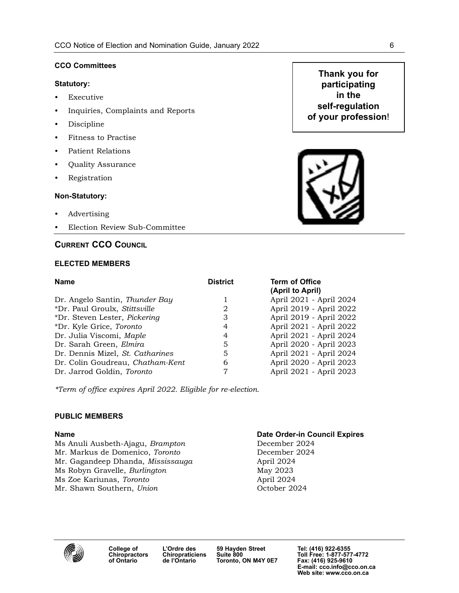#### CCO Committees

#### Statutory:

- Executive
- Inquiries, Complaints and Reports
- Discipline
- Fitness to Practise
- Patient Relations
- Quality Assurance
- Registration

#### Non-Statutory:

- Advertising
- Election Review Sub-Committee

# CURRENT CCO COUNCIL

#### ELECTED MEMBERS

| <b>Name</b>                      | <b>District</b> | <b>Term of Office</b>   |
|----------------------------------|-----------------|-------------------------|
|                                  |                 | (April to April)        |
| Dr. Angelo Santin, Thunder Bay   |                 | April 2021 - April 2024 |
| *Dr. Paul Groulx, Stittsville    | 2               | April 2019 - April 2022 |
| *Dr. Steven Lester, Pickering    | 3               | April 2019 - April 2022 |
| *Dr. Kyle Grice, Toronto         | 4               | April 2021 - April 2022 |
| Dr. Julia Viscomi, Maple         | 4               | April 2021 - April 2024 |
| Dr. Sarah Green, Elmira          | 5               | April 2020 - April 2023 |
| Dr. Dennis Mizel, St. Catharines | 5               | April 2021 - April 2024 |
| Dr. Colin Goudreau, Chatham-Kent | 6               | April 2020 - April 2023 |
| Dr. Jarrod Goldin, Toronto       |                 | April 2021 - April 2023 |

\*Term of office expires April 2022. Eligible for re-election.

### PUBLIC MEMBERS

Ms Anuli Ausbeth-Ajagu, Brampton December 2024 Mr. Markus de Domenico, Toronto December 2024 Mr. Gagandeep Dhanda, Mississauga April 2024 Ms Robyn Gravelle, *Burlington* May 2023 Ms Zoe Kariunas, Toronto **April 2024** Mr. Shawn Southern, Union Corollary Corollary October 2024

#### Name Date Order-in Council Expires



# Thank you for participating in the self-regulation of your profession!

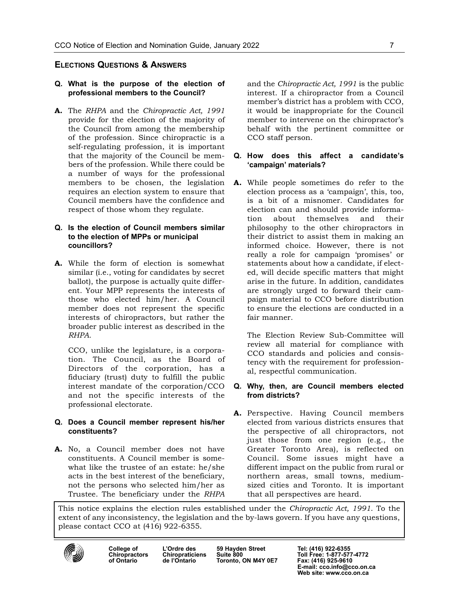# ELECTIONS QUESTIONS & ANSWERS

#### Q. What is the purpose of the election of professional members to the Council?

A. The RHPA and the Chiropractic Act, 1991 provide for the election of the majority of the Council from among the membership of the profession. Since chiropractic is a self-regulating profession, it is important that the majority of the Council be members of the profession. While there could be a number of ways for the professional members to be chosen, the legislation requires an election system to ensure that Council members have the confidence and respect of those whom they regulate.

#### Q. Is the election of Council members similar to the election of MPPs or municipal councillors?

A. While the form of election is somewhat similar (i.e., voting for candidates by secret ballot), the purpose is actually quite different. Your MPP represents the interests of those who elected him/her. A Council member does not represent the specific interests of chiropractors, but rather the broader public interest as described in the RHPA.

CCO, unlike the legislature, is a corporation. The Council, as the Board of Directors of the corporation, has a fiduciary (trust) duty to fulfill the public interest mandate of the corporation/CCO and not the specific interests of the professional electorate.

#### Q. Does a Council member represent his/her constituents?

A. No, a Council member does not have constituents. A Council member is somewhat like the trustee of an estate: he/she acts in the best interest of the beneficiary, not the persons who selected him/her as Trustee. The beneficiary under the RHPA

and the Chiropractic Act, 1991 is the public interest. If a chiropractor from a Council member's district has a problem with CCO, it would be inappropriate for the Council member to intervene on the chiropractor's behalf with the pertinent committee or CCO staff person.

#### Q. How does this affect a candidate's 'campaign' materials?

A. While people sometimes do refer to the election process as a 'campaign', this, too, is a bit of a misnomer. Candidates for election can and should provide information about themselves and their philosophy to the other chiropractors in their district to assist them in making an informed choice. However, there is not really a role for campaign 'promises' or statements about how a candidate, if elected, will decide specific matters that might arise in the future. In addition, candidates are strongly urged to forward their campaign material to CCO before distribution to ensure the elections are conducted in a fair manner.

The Election Review Sub-Committee will review all material for compliance with CCO standards and policies and consistency with the requirement for professional, respectful communication.

#### Q. Why, then, are Council members elected from districts?

A. Perspective. Having Council members elected from various districts ensures that the perspective of all chiropractors, not just those from one region (e.g., the Greater Toronto Area), is reflected on Council. Some issues might have a different impact on the public from rural or northern areas, small towns, mediumsized cities and Toronto. It is important that all perspectives are heard.

This notice explains the election rules established under the Chiropractic Act, 1991. To the extent of any inconsistency, the legislation and the by-laws govern. If you have any questions, please contact CCO at (416) 922-6355.



College of L'Ordre des 59 Hayden Street Tel: (416) 922-6355<br>Chiropractors Chiropraticiens Suite 800 Toll Free: 1-877-57 Toronto, ON M4Y 0E7

Chiropractors Chiropraticiens Suite 800 Toll Free: 1-877-577-4772<br>of Ontario de l'Ontario Toronto, ON M4Y 0E7 Fax: (416) 925-9610 E-mail: cco.info@cco.on.ca Web site: www.cco.on.ca